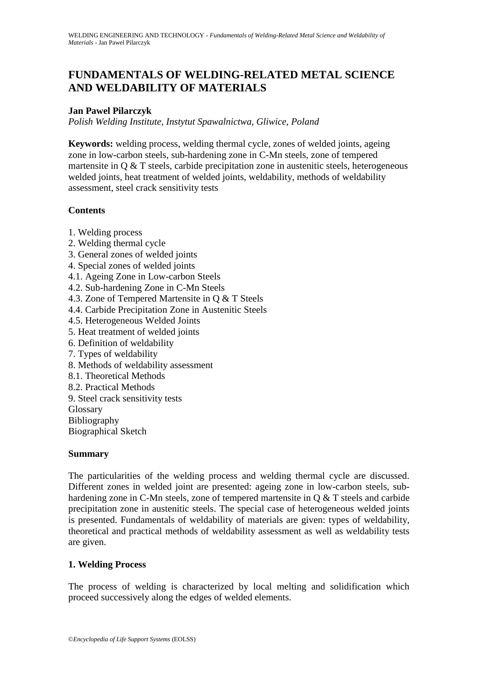# **FUNDAMENTALS OF WELDING-RELATED METAL SCIENCE AND WELDABILITY OF MATERIALS**

#### **Jan Pawel Pilarczyk**

*Polish Welding Institute, Instytut Spawalnictwa, Gliwice, Poland*

**Keywords:** welding process, welding thermal cycle, zones of welded joints, ageing zone in low-carbon steels, sub-hardening zone in C-Mn steels, zone of tempered martensite in Q & T steels, carbide precipitation zone in austenitic steels, heterogeneous welded joints, heat treatment of welded joints, weldability, methods of weldability assessment, steel crack sensitivity tests

## **Contents**

- 1. Welding process
- 2. Welding thermal cycle
- 3. General zones of welded joints
- 4. Special zones of welded joints
- 4.1. Ageing Zone in Low-carbon Steels
- 4.2. Sub-hardening Zone in C-Mn Steels
- 4.3. Zone of Tempered Martensite in Q & T Steels
- 4.4. Carbide Precipitation Zone in Austenitic Steels
- 4.5. Heterogeneous Welded Joints
- 5. Heat treatment of welded joints
- 6. Definition of weldability
- 7. Types of weldability
- 8. Methods of weldability assessment
- 8.1. Theoretical Methods
- 8.2. Practical Methods
- 9. Steel crack sensitivity tests
- Glossary
- Bibliography

Biographical Sketch

### **Summary**

The particularities of the welding process and welding thermal cycle are discussed. Different zones in welded joint are presented: ageing zone in low-carbon steels, subhardening zone in C-Mn steels, zone of tempered martensite in Q & T steels and carbide precipitation zone in austenitic steels. The special case of heterogeneous welded joints is presented. Fundamentals of weldability of materials are given: types of weldability, theoretical and practical methods of weldability assessment as well as weldability tests are given.

### **1. Welding Process**

The process of welding is characterized by local melting and solidification which proceed successively along the edges of welded elements.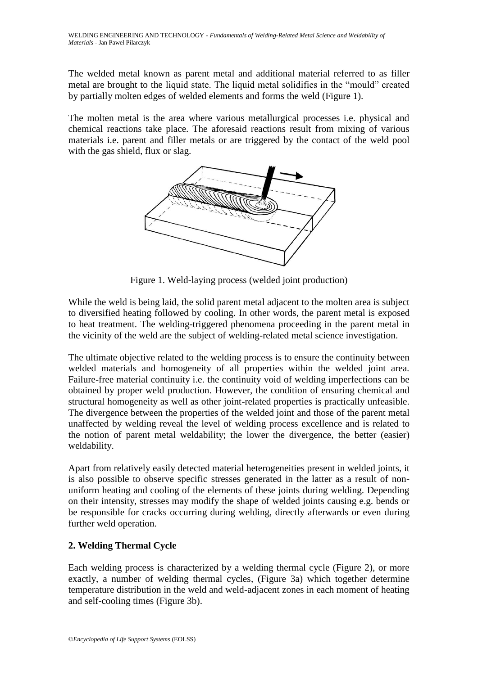The welded metal known as parent metal and additional material referred to as filler metal are brought to the liquid state. The liquid metal solidifies in the "mould" created by partially molten edges of welded elements and forms the weld (Figure 1).

The molten metal is the area where various metallurgical processes i.e. physical and chemical reactions take place. The aforesaid reactions result from mixing of various materials i.e. parent and filler metals or are triggered by the contact of the weld pool with the gas shield, flux or slag.



Figure 1. Weld-laying process (welded joint production)

While the weld is being laid, the solid parent metal adjacent to the molten area is subject to diversified heating followed by cooling. In other words, the parent metal is exposed to heat treatment. The welding-triggered phenomena proceeding in the parent metal in the vicinity of the weld are the subject of welding-related metal science investigation.

The ultimate objective related to the welding process is to ensure the continuity between welded materials and homogeneity of all properties within the welded joint area. Failure-free material continuity i.e. the continuity void of welding imperfections can be obtained by proper weld production. However, the condition of ensuring chemical and structural homogeneity as well as other joint-related properties is practically unfeasible. The divergence between the properties of the welded joint and those of the parent metal unaffected by welding reveal the level of welding process excellence and is related to the notion of parent metal weldability; the lower the divergence, the better (easier) weldability.

Apart from relatively easily detected material heterogeneities present in welded joints, it is also possible to observe specific stresses generated in the latter as a result of nonuniform heating and cooling of the elements of these joints during welding. Depending on their intensity, stresses may modify the shape of welded joints causing e.g. bends or be responsible for cracks occurring during welding, directly afterwards or even during further weld operation.

# **2. Welding Thermal Cycle**

Each welding process is characterized by a welding thermal cycle (Figure 2), or more exactly, a number of welding thermal cycles, (Figure 3a) which together determine temperature distribution in the weld and weld-adjacent zones in each moment of heating and self-cooling times (Figure 3b).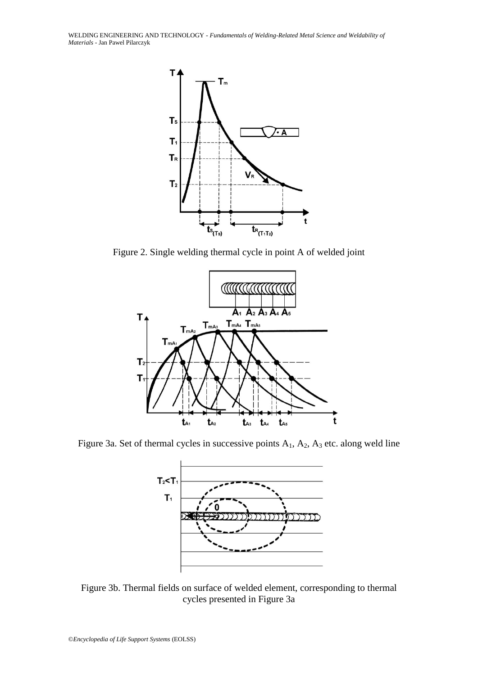WELDING ENGINEERING AND TECHNOLOGY - *Fundamentals of Welding-Related Metal Science and Weldability of Materials* - Jan Pawel Pilarczyk



Figure 2. Single welding thermal cycle in point A of welded joint



Figure 3a. Set of thermal cycles in successive points  $A_1$ ,  $A_2$ ,  $A_3$  etc. along weld line



Figure 3b. Thermal fields on surface of welded element, corresponding to thermal cycles presented in Figure 3a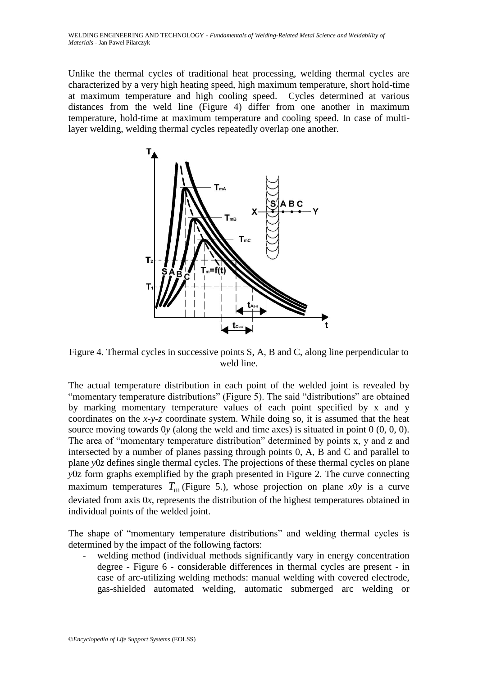Unlike the thermal cycles of traditional heat processing, welding thermal cycles are characterized by a very high heating speed, high maximum temperature, short hold-time at maximum temperature and high cooling speed. Cycles determined at various distances from the weld line (Figure 4) differ from one another in maximum temperature, hold-time at maximum temperature and cooling speed. In case of multilayer welding, welding thermal cycles repeatedly overlap one another.



Figure 4. Thermal cycles in successive points S, A, B and C, along line perpendicular to weld line.

The actual temperature distribution in each point of the welded joint is revealed by "momentary temperature distributions" (Figure 5). The said "distributions" are obtained by marking momentary temperature values of each point specified by x and y coordinates on the *x*-*y*-*z* coordinate system. While doing so, it is assumed that the heat source moving towards 0*y* (along the weld and time axes) is situated in point 0 (0, 0, 0). The area of "momentary temperature distribution" determined by points x, y and z and intersected by a number of planes passing through points 0, A, B and C and parallel to plane *y*0*z* defines single thermal cycles. The projections of these thermal cycles on plane *y*0z form graphs exemplified by the graph presented in Figure 2. The curve connecting maximum temperatures  $T_m$  (Figure 5.), whose projection on plane *x*0*y* is a curve deviated from axis 0*x*, represents the distribution of the highest temperatures obtained in individual points of the welded joint.

The shape of "momentary temperature distributions" and welding thermal cycles is determined by the impact of the following factors:

welding method (individual methods significantly vary in energy concentration degree - Figure 6 - considerable differences in thermal cycles are present - in case of arc-utilizing welding methods: manual welding with covered electrode, gas-shielded automated welding, automatic submerged arc welding or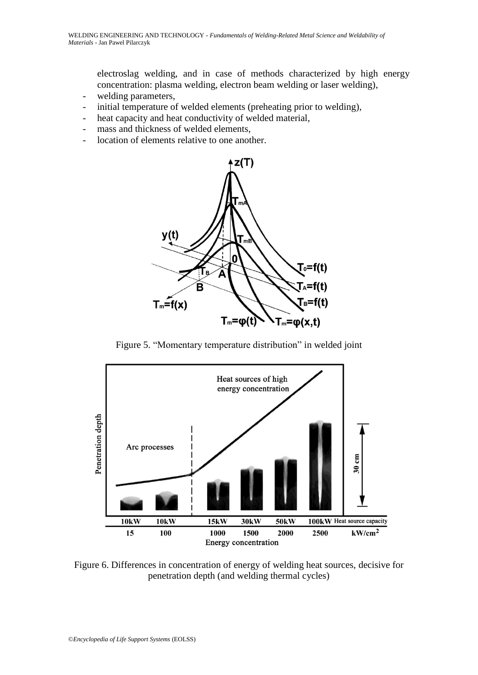electroslag welding, and in case of methods characterized by high energy concentration: plasma welding, electron beam welding or laser welding),

- welding parameters,
- initial temperature of welded elements (preheating prior to welding),
- heat capacity and heat conductivity of welded material,
- mass and thickness of welded elements,
- location of elements relative to one another.



Figure 5. "Momentary temperature distribution" in welded joint



Figure 6. Differences in concentration of energy of welding heat sources, decisive for penetration depth (and welding thermal cycles)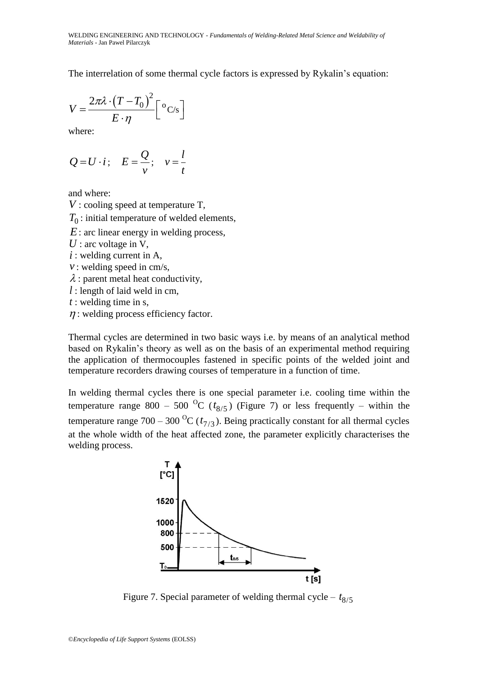The interrelation of some thermal cycle factors is expressed by Rykalin's equation:

$$
V = \frac{2\pi\lambda \cdot (T - T_0)^2}{E \cdot \eta} \Big[ {}^{o}C/s \Big]
$$

where:

$$
Q=U\cdot i\,;\quad E=\frac{Q}{v};\quad v=\frac{l}{t}
$$

and where:

*V* : cooling speed at temperature T,

 $T_0$ : initial temperature of welded elements,

*E* : arc linear energy in welding process,

U : arc voltage in V,

- *i* : welding current in A,
- *v* : welding speed in cm/s,
- $\lambda$ : parent metal heat conductivity,

*l* : length of laid weld in cm,

*t* : welding time in s,

 $\eta$ : welding process efficiency factor.

Thermal cycles are determined in two basic ways i.e. by means of an analytical method based on Rykalin's theory as well as on the basis of an experimental method requiring the application of thermocouples fastened in specific points of the welded joint and temperature recorders drawing courses of temperature in a function of time.

In welding thermal cycles there is one special parameter i.e. cooling time within the temperature range 800 – 500 <sup>O</sup>C ( $t_{8/5}$ ) (Figure 7) or less frequently – within the temperature range  $700 - 300 \, {}^{o}C (t_{7/3})$ . Being practically constant for all thermal cycles at the whole width of the heat affected zone, the parameter explicitly characterises the welding process.



Figure 7. Special parameter of welding thermal cycle –  $t_{8/5}$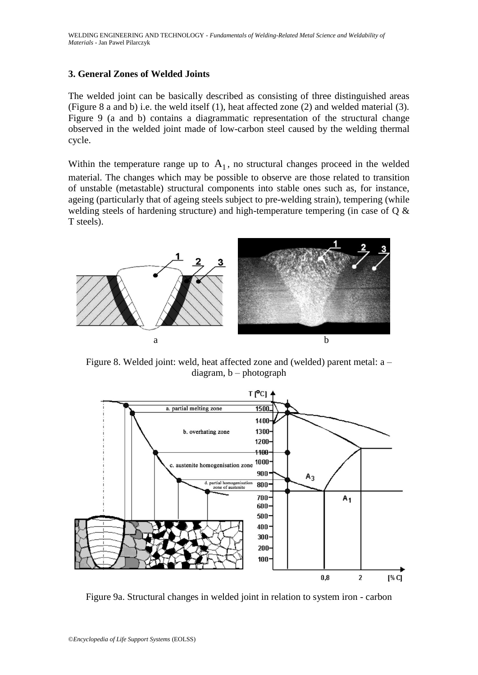#### **3. General Zones of Welded Joints**

The welded joint can be basically described as consisting of three distinguished areas (Figure 8 a and b) i.e. the weld itself (1), heat affected zone (2) and welded material (3). Figure 9 (a and b) contains a diagrammatic representation of the structural change observed in the welded joint made of low-carbon steel caused by the welding thermal cycle.

Within the temperature range up to  $A_1$ , no structural changes proceed in the welded material. The changes which may be possible to observe are those related to transition of unstable (metastable) structural components into stable ones such as, for instance, ageing (particularly that of ageing steels subject to pre-welding strain), tempering (while welding steels of hardening structure) and high-temperature tempering (in case of Q & T steels).



Figure 8. Welded joint: weld, heat affected zone and (welded) parent metal: a – diagram, b – photograph



Figure 9a. Structural changes in welded joint in relation to system iron - carbon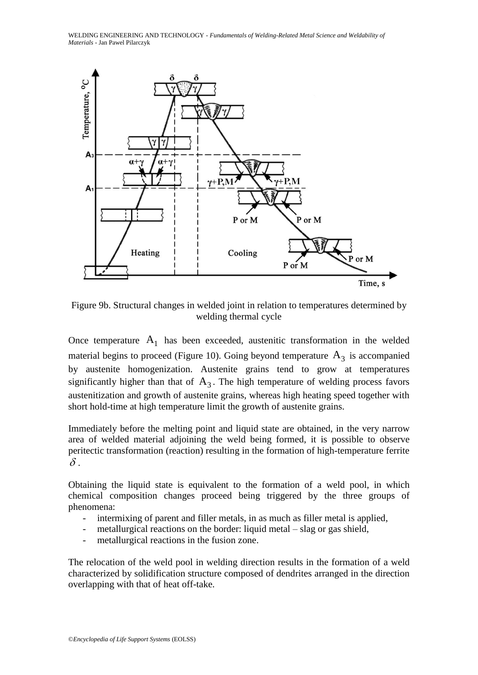WELDING ENGINEERING AND TECHNOLOGY - *Fundamentals of Welding-Related Metal Science and Weldability of Materials* - Jan Pawel Pilarczyk



Figure 9b. Structural changes in welded joint in relation to temperatures determined by welding thermal cycle

Once temperature  $A_1$  has been exceeded, austenitic transformation in the welded material begins to proceed (Figure 10). Going beyond temperature  $A_3$  is accompanied by austenite homogenization. Austenite grains tend to grow at temperatures significantly higher than that of  $A_3$ . The high temperature of welding process favors austenitization and growth of austenite grains, whereas high heating speed together with short hold-time at high temperature limit the growth of austenite grains.

Immediately before the melting point and liquid state are obtained, in the very narrow area of welded material adjoining the weld being formed, it is possible to observe peritectic transformation (reaction) resulting in the formation of high-temperature ferrite  $\delta$ .

Obtaining the liquid state is equivalent to the formation of a weld pool, in which chemical composition changes proceed being triggered by the three groups of phenomena:

- intermixing of parent and filler metals, in as much as filler metal is applied,
- metallurgical reactions on the border: liquid metal  $-$  slag or gas shield,
- metallurgical reactions in the fusion zone.

The relocation of the weld pool in welding direction results in the formation of a weld characterized by solidification structure composed of dendrites arranged in the direction overlapping with that of heat off-take.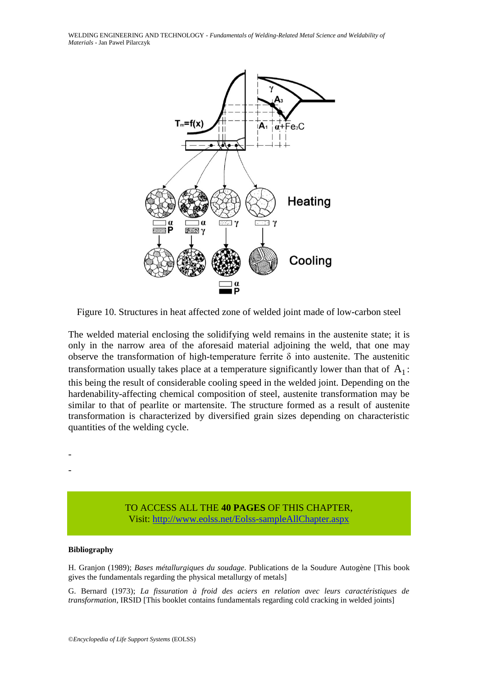WELDING ENGINEERING AND TECHNOLOGY - *Fundamentals of Welding-Related Metal Science and Weldability of Materials* - Jan Pawel Pilarczyk



Figure 10. Structures in heat affected zone of welded joint made of low-carbon steel

The welded material enclosing the solidifying weld remains in the austenite state; it is only in the narrow area of the aforesaid material adjoining the weld, that one may observe the transformation of high-temperature ferrite  $\delta$  into austenite. The austenitic transformation usually takes place at a temperature significantly lower than that of  $A_1$ : this being the result of considerable cooling speed in the welded joint. Depending on the hardenability-affecting chemical composition of steel, austenite transformation may be similar to that of pearlite or martensite. The structure formed as a result of austenite transformation is characterized by diversified grain sizes depending on characteristic quantities of the welding cycle.

- -

> TO ACCESS ALL THE **40 PAGES** OF THIS CHAPTER, Visi[t: http://www.eolss.net/Eolss-sampleAllChapter.aspx](https://www.eolss.net/ebooklib/sc_cart.aspx?File=E6-171-19b)

#### **Bibliography**

H. Granjon (1989); *Bases métallurgiques du soudage*. Publications de la Soudure Autogène [This book gives the fundamentals regarding the physical metallurgy of metals]

G. Bernard (1973); *La fissuration à froid des aciers en relation avec leurs caractéristiques de transformation*, IRSID [This booklet contains fundamentals regarding cold cracking in welded joints]